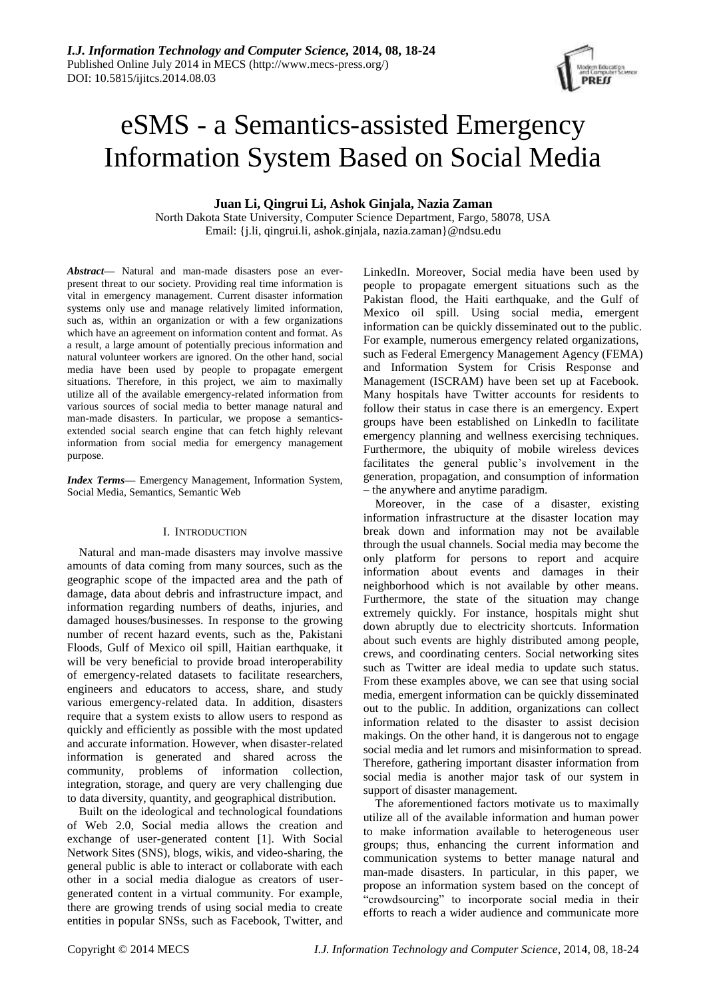# eSMS - a Semantics-assisted Emergency Information System Based on Social Media

# **Juan Li, Qingrui Li, Ashok Ginjala, Nazia Zaman**

North Dakota State University, Computer Science Department, Fargo, 58078, USA Email: {j.li, qingrui.li, ashok.ginjala, nazia.zaman}@ndsu.edu

*Abstract***—** Natural and man-made disasters pose an everpresent threat to our society. Providing real time information is vital in emergency management. Current disaster information systems only use and manage relatively limited information, such as, within an organization or with a few organizations which have an agreement on information content and format. As a result, a large amount of potentially precious information and natural volunteer workers are ignored. On the other hand, social media have been used by people to propagate emergent situations. Therefore, in this project, we aim to maximally utilize all of the available emergency-related information from various sources of social media to better manage natural and man-made disasters. In particular, we propose a semanticsextended social search engine that can fetch highly relevant information from social media for emergency management purpose.

*Index Terms***—** Emergency Management, Information System, Social Media, Semantics, Semantic Web

# I. INTRODUCTION

Natural and man-made disasters may involve massive amounts of data coming from many sources, such as the geographic scope of the impacted area and the path of damage, data about debris and infrastructure impact, and information regarding numbers of deaths, injuries, and damaged houses/businesses. In response to the growing number of recent hazard events, such as the, Pakistani Floods, Gulf of Mexico oil spill, Haitian earthquake, it will be very beneficial to provide broad interoperability of emergency-related datasets to facilitate researchers, engineers and educators to access, share, and study various emergency-related data. In addition, disasters require that a system exists to allow users to respond as quickly and efficiently as possible with the most updated and accurate information. However, when disaster-related information is generated and shared across the community, problems of information collection, integration, storage, and query are very challenging due to data diversity, quantity, and geographical distribution.

Built on the ideological and technological foundations of Web 2.0, Social media allows the creation and exchange of user-generated content [1]. With Social Network Sites (SNS), blogs, wikis, and video-sharing, the general public is able to interact or collaborate with each other in a social media dialogue as creators of usergenerated content in a virtual community. For example, there are growing trends of using social media to create entities in popular SNSs, such as Facebook, Twitter, and

LinkedIn. Moreover, Social media have been used by people to propagate emergent situations such as the Pakistan flood, the Haiti earthquake, and the Gulf of Mexico oil spill. Using social media, emergent information can be quickly disseminated out to the public. For example, numerous emergency related organizations, such as Federal Emergency Management Agency (FEMA) and Information System for Crisis Response and Management (ISCRAM) have been set up at Facebook. Many hospitals have Twitter accounts for residents to follow their status in case there is an emergency. Expert groups have been established on LinkedIn to facilitate emergency planning and wellness exercising techniques. Furthermore, the ubiquity of mobile wireless devices facilitates the general public's involvement in the generation, propagation, and consumption of information – the anywhere and anytime paradigm.

Moreover, in the case of a disaster, existing information infrastructure at the disaster location may break down and information may not be available through the usual channels. Social media may become the only platform for persons to report and acquire information about events and damages in their neighborhood which is not available by other means. Furthermore, the state of the situation may change extremely quickly. For instance, hospitals might shut down abruptly due to electricity shortcuts. Information about such events are highly distributed among people, crews, and coordinating centers. Social networking sites such as Twitter are ideal media to update such status. From these examples above, we can see that using social media, emergent information can be quickly disseminated out to the public. In addition, organizations can collect information related to the disaster to assist decision makings. On the other hand, it is dangerous not to engage social media and let rumors and misinformation to spread. Therefore, gathering important disaster information from social media is another major task of our system in support of disaster management.

The aforementioned factors motivate us to maximally utilize all of the available information and human power to make information available to heterogeneous user groups; thus, enhancing the current information and communication systems to better manage natural and man-made disasters. In particular, in this paper, we propose an information system based on the concept of "crowdsourcing" to incorporate social media in their efforts to reach a wider audience and communicate more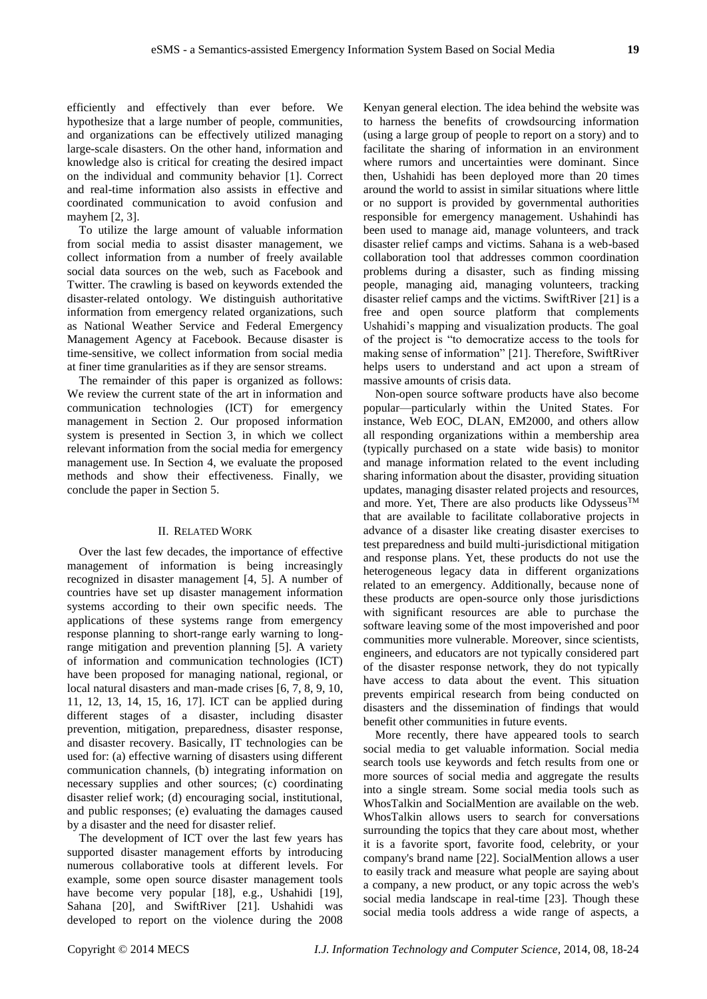efficiently and effectively than ever before. We hypothesize that a large number of people, communities, and organizations can be effectively utilized managing large-scale disasters. On the other hand, information and knowledge also is critical for creating the desired impact on the individual and community behavior [1]. Correct and real-time information also assists in effective and coordinated communication to avoid confusion and mayhem [2, 3].

To utilize the large amount of valuable information from social media to assist disaster management, we collect information from a number of freely available social data sources on the web, such as Facebook and Twitter. The crawling is based on keywords extended the disaster-related ontology. We distinguish authoritative information from emergency related organizations, such as National Weather Service and Federal Emergency Management Agency at Facebook. Because disaster is time-sensitive, we collect information from social media at finer time granularities as if they are sensor streams.

The remainder of this paper is organized as follows: We review the current state of the art in information and communication technologies (ICT) for emergency management in Section 2. Our proposed information system is presented in Section 3, in which we collect relevant information from the social media for emergency management use. In Section 4, we evaluate the proposed methods and show their effectiveness. Finally, we conclude the paper in Section 5.

# II. RELATED WORK

Over the last few decades, the importance of effective management of information is being increasingly recognized in disaster management [4, 5]. A number of countries have set up disaster management information systems according to their own specific needs. The applications of these systems range from emergency response planning to short-range early warning to longrange mitigation and prevention planning [5]. A variety of information and communication technologies (ICT) have been proposed for managing national, regional, or local natural disasters and man-made crises [6, 7, 8, 9, 10, 11, 12, 13, 14, 15, 16, 17]. ICT can be applied during different stages of a disaster, including disaster prevention, mitigation, preparedness, disaster response, and disaster recovery. Basically, IT technologies can be used for: (a) effective warning of disasters using different communication channels, (b) integrating information on necessary supplies and other sources; (c) coordinating disaster relief work; (d) encouraging social, institutional, and public responses; (e) evaluating the damages caused by a disaster and the need for disaster relief.

The development of ICT over the last few years has supported disaster management efforts by introducing numerous collaborative tools at different levels. For example, some open source disaster management tools have become very popular [18], e.g., Ushahidi [19], Sahana [20], and SwiftRiver [21]. Ushahidi was developed to report on the violence during the 2008 Kenyan general election. The idea behind the website was to harness the benefits of crowdsourcing information (using a large group of people to report on a story) and to facilitate the sharing of information in an environment where rumors and uncertainties were dominant. Since then, Ushahidi has been deployed more than 20 times around the world to assist in similar situations where little or no support is provided by governmental authorities responsible for emergency management. Ushahindi has been used to manage aid, manage volunteers, and track disaster relief camps and victims. Sahana is a web-based collaboration tool that addresses common coordination problems during a disaster, such as finding missing people, managing aid, managing volunteers, tracking disaster relief camps and the victims. SwiftRiver [21] is a free and open source platform that complements Ushahidi's mapping and visualization products. The goal of the project is "to democratize access to the tools for making sense of information" [21]. Therefore, SwiftRiver helps users to understand and act upon a stream of massive amounts of crisis data.

Non-open source software products have also become popular—particularly within the United States. For instance, Web EOC, DLAN, EM2000, and others allow all responding organizations within a membership area (typically purchased on a state wide basis) to monitor and manage information related to the event including sharing information about the disaster, providing situation updates, managing disaster related projects and resources, and more. Yet, There are also products like Odysseus<sup>TM</sup> that are available to facilitate collaborative projects in advance of a disaster like creating disaster exercises to test preparedness and build multi-jurisdictional mitigation and response plans. Yet, these products do not use the heterogeneous legacy data in different organizations related to an emergency. Additionally, because none of these products are open-source only those jurisdictions with significant resources are able to purchase the software leaving some of the most impoverished and poor communities more vulnerable. Moreover, since scientists, engineers, and educators are not typically considered part of the disaster response network, they do not typically have access to data about the event. This situation prevents empirical research from being conducted on disasters and the dissemination of findings that would benefit other communities in future events.

More recently, there have appeared tools to search social media to get valuable information. Social media search tools use keywords and fetch results from one or more sources of social media and aggregate the results into a single stream. Some social media tools such as WhosTalkin and SocialMention are available on the web. WhosTalkin allows users to search for conversations surrounding the topics that they care about most, whether it is a favorite sport, favorite food, celebrity, or your company's brand name [22]. SocialMention allows a user to easily track and measure what people are saying about a company, a new product, or any topic across the web's social media landscape in real-time [23]. Though these social media tools address a wide range of aspects, a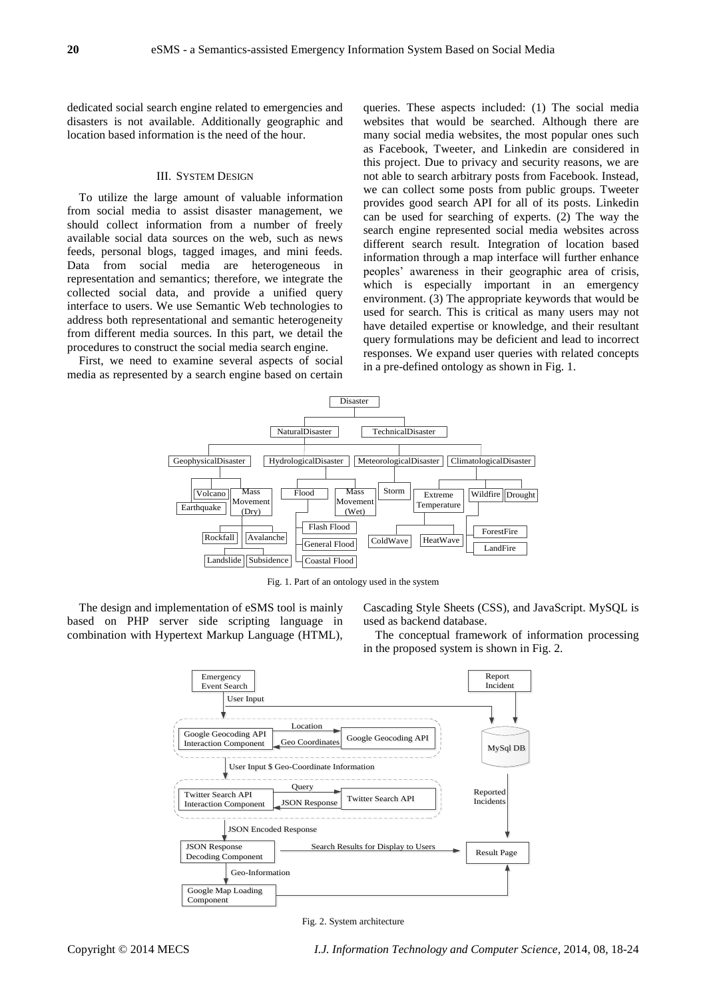dedicated social search engine related to emergencies and disasters is not available. Additionally geographic and location based information is the need of the hour.

### III. SYSTEM DESIGN

To utilize the large amount of valuable information from social media to assist disaster management, we should collect information from a number of freely available social data sources on the web, such as news feeds, personal blogs, tagged images, and mini feeds. Data from social media are heterogeneous in representation and semantics; therefore, we integrate the collected social data, and provide a unified query interface to users. We use Semantic Web technologies to address both representational and semantic heterogeneity from different media sources. In this part, we detail the procedures to construct the social media search engine.

First, we need to examine several aspects of social media as represented by a search engine based on certain queries. These aspects included: (1) The social media websites that would be searched. Although there are many social media websites, the most popular ones such as Facebook, Tweeter, and Linkedin are considered in this project. Due to privacy and security reasons, we are not able to search arbitrary posts from Facebook. Instead, we can collect some posts from public groups. Tweeter provides good search API for all of its posts. Linkedin can be used for searching of experts. (2) The way the search engine represented social media websites across different search result. Integration of location based information through a map interface will further enhance peoples' awareness in their geographic area of crisis, which is especially important in an emergency environment. (3) The appropriate keywords that would be used for search. This is critical as many users may not have detailed expertise or knowledge, and their resultant query formulations may be deficient and lead to incorrect responses. We expand user queries with related concepts in a pre-defined ontology as shown in Fig. 1.



Fig. 1. Part of an ontology used in the system

The design and implementation of eSMS tool is mainly based on PHP server side scripting language in combination with Hypertext Markup Language (HTML), Cascading Style Sheets (CSS), and JavaScript. MySQL is used as backend database.

The conceptual framework of information processing in the proposed system is shown in Fig. 2.



Fig. 2. System architecture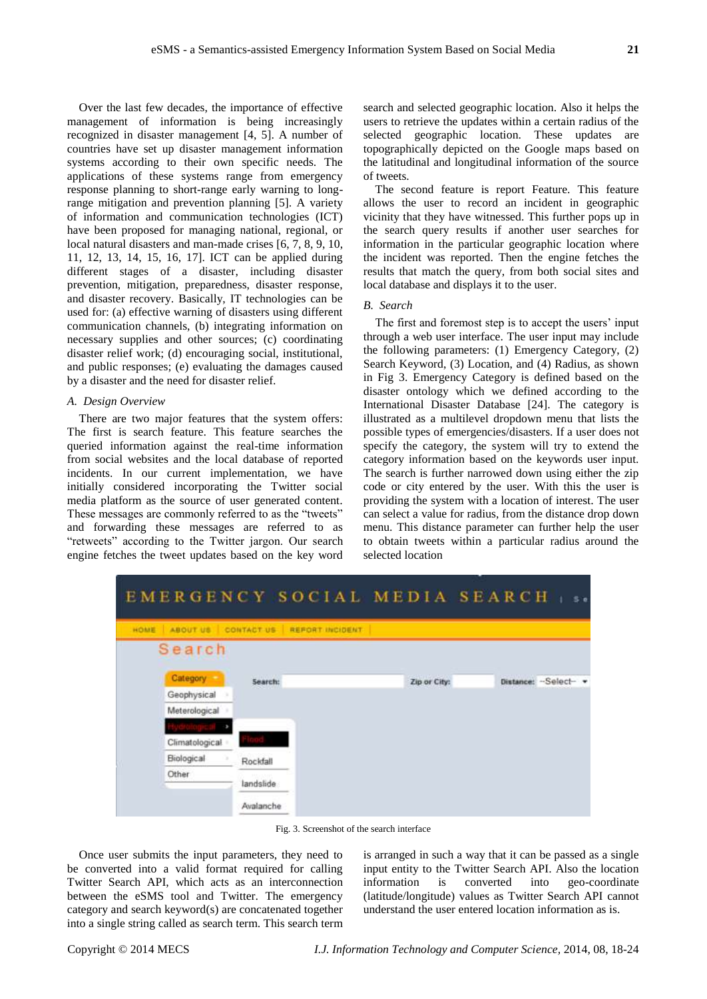Over the last few decades, the importance of effective management of information is being increasingly recognized in disaster management [4, 5]. A number of countries have set up disaster management information systems according to their own specific needs. The applications of these systems range from emergency response planning to short-range early warning to longrange mitigation and prevention planning [5]. A variety of information and communication technologies (ICT) have been proposed for managing national, regional, or local natural disasters and man-made crises [6, 7, 8, 9, 10, 11, 12, 13, 14, 15, 16, 17]. ICT can be applied during different stages of a disaster, including disaster prevention, mitigation, preparedness, disaster response, and disaster recovery. Basically, IT technologies can be used for: (a) effective warning of disasters using different communication channels, (b) integrating information on necessary supplies and other sources; (c) coordinating disaster relief work; (d) encouraging social, institutional, and public responses; (e) evaluating the damages caused by a disaster and the need for disaster relief.

#### *A. Design Overview*

There are two major features that the system offers: The first is search feature. This feature searches the queried information against the real-time information from social websites and the local database of reported incidents. In our current implementation, we have initially considered incorporating the Twitter social media platform as the source of user generated content. These messages are commonly referred to as the "tweets" and forwarding these messages are referred to as "retweets" according to the Twitter jargon. Our search engine fetches the tweet updates based on the key word search and selected geographic location. Also it helps the users to retrieve the updates within a certain radius of the selected geographic location. These updates are topographically depicted on the Google maps based on the latitudinal and longitudinal information of the source of tweets.

The second feature is report Feature. This feature allows the user to record an incident in geographic vicinity that they have witnessed. This further pops up in the search query results if another user searches for information in the particular geographic location where the incident was reported. Then the engine fetches the results that match the query, from both social sites and local database and displays it to the user.

## *B. Search*

The first and foremost step is to accept the users' input through a web user interface. The user input may include the following parameters: (1) Emergency Category, (2) Search Keyword, (3) Location, and (4) Radius, as shown in Fig 3. Emergency Category is defined based on the disaster ontology which we defined according to the International Disaster Database [24]. The category is illustrated as a multilevel dropdown menu that lists the possible types of emergencies/disasters. If a user does not specify the category, the system will try to extend the category information based on the keywords user input. The search is further narrowed down using either the zip code or city entered by the user. With this the user is providing the system with a location of interest. The user can select a value for radius, from the distance drop down menu. This distance parameter can further help the user to obtain tweets within a particular radius around the selected location



Fig. 3. Screenshot of the search interface

Once user submits the input parameters, they need to be converted into a valid format required for calling Twitter Search API, which acts as an interconnection between the eSMS tool and Twitter. The emergency category and search keyword(s) are concatenated together into a single string called as search term. This search term

is arranged in such a way that it can be passed as a single input entity to the Twitter Search API. Also the location information is converted into geo-coordinate (latitude/longitude) values as Twitter Search API cannot understand the user entered location information as is.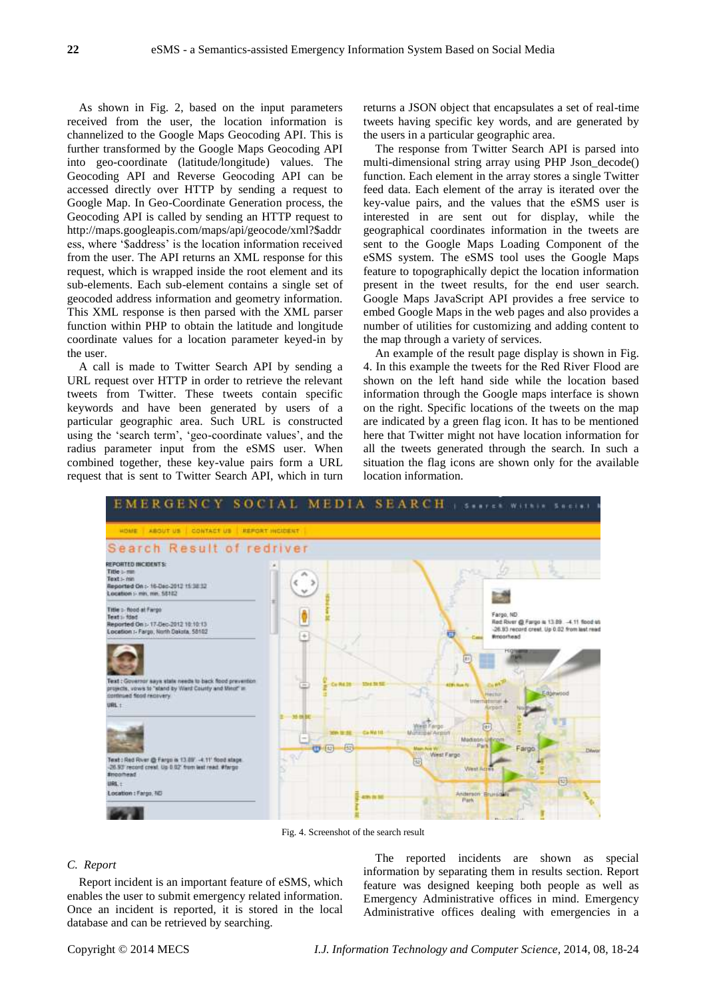As shown in Fig. 2, based on the input parameters received from the user, the location information is channelized to the Google Maps Geocoding API. This is further transformed by the Google Maps Geocoding API into geo-coordinate (latitude/longitude) values. The Geocoding API and Reverse Geocoding API can be accessed directly over HTTP by sending a request to Google Map. In Geo-Coordinate Generation process, the Geocoding API is called by sending an HTTP request to http://maps.googleapis.com/maps/api/geocode/xml?\$addr ess, where '\$address' is the location information received from the user. The API returns an XML response for this request, which is wrapped inside the root element and its sub-elements. Each sub-element contains a single set of geocoded address information and geometry information. This XML response is then parsed with the XML parser function within PHP to obtain the latitude and longitude coordinate values for a location parameter keyed-in by the user.

A call is made to Twitter Search API by sending a URL request over HTTP in order to retrieve the relevant tweets from Twitter. These tweets contain specific keywords and have been generated by users of a particular geographic area. Such URL is constructed using the 'search term', 'geo-coordinate values', and the radius parameter input from the eSMS user. When combined together, these key-value pairs form a URL request that is sent to Twitter Search API, which in turn returns a JSON object that encapsulates a set of real-time tweets having specific key words, and are generated by the users in a particular geographic area.

The response from Twitter Search API is parsed into multi-dimensional string array using PHP Json\_decode() function. Each element in the array stores a single Twitter feed data. Each element of the array is iterated over the key-value pairs, and the values that the eSMS user is interested in are sent out for display, while the geographical coordinates information in the tweets are sent to the Google Maps Loading Component of the eSMS system. The eSMS tool uses the Google Maps feature to topographically depict the location information present in the tweet results, for the end user search. Google Maps JavaScript API provides a free service to embed Google Maps in the web pages and also provides a number of utilities for customizing and adding content to the map through a variety of services.

An example of the result page display is shown in Fig. 4. In this example the tweets for the Red River Flood are shown on the left hand side while the location based information through the Google maps interface is shown on the right. Specific locations of the tweets on the map are indicated by a green flag icon. It has to be mentioned here that Twitter might not have location information for all the tweets generated through the search. In such a situation the flag icons are shown only for the available location information.



Fig. 4. Screenshot of the search result

#### *C. Report*

Report incident is an important feature of eSMS, which enables the user to submit emergency related information. Once an incident is reported, it is stored in the local database and can be retrieved by searching.

The reported incidents are shown as special information by separating them in results section. Report feature was designed keeping both people as well as Emergency Administrative offices in mind. Emergency Administrative offices dealing with emergencies in a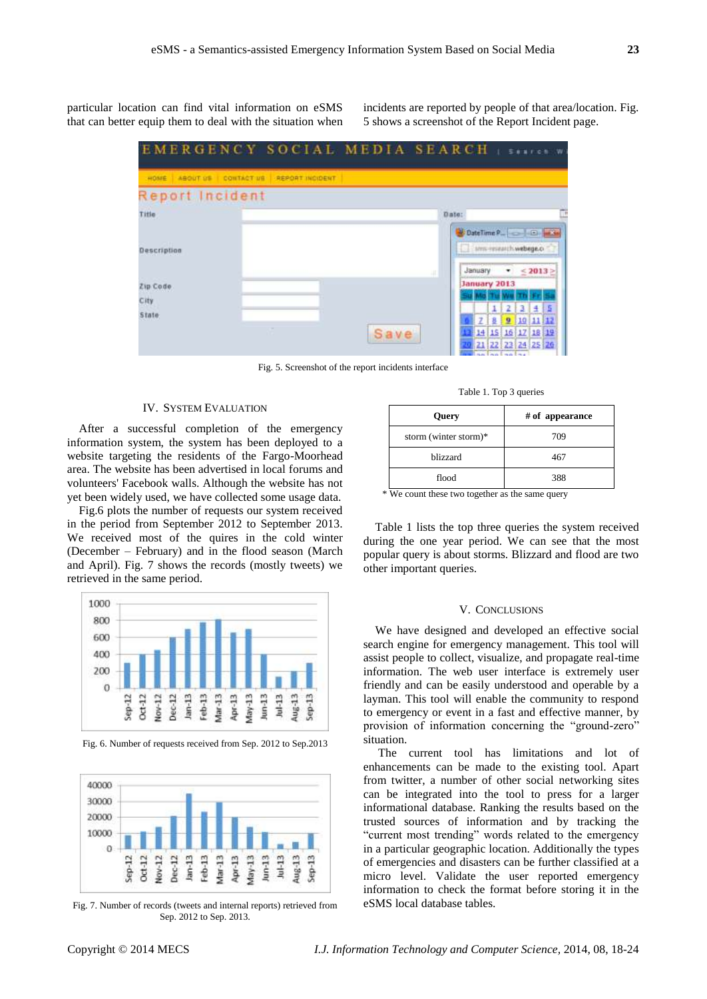particular location can find vital information on eSMS that can better equip them to deal with the situation when incidents are reported by people of that area/location. Fig. 5 shows a screenshot of the Report Incident page.



Fig. 5. Screenshot of the report incidents interface

#### IV. SYSTEM EVALUATION

After a successful completion of the emergency information system, the system has been deployed to a website targeting the residents of the Fargo-Moorhead area. The website has been advertised in local forums and volunteers' Facebook walls. Although the website has not yet been widely used, we have collected some usage data.

Fig.6 plots the number of requests our system received in the period from September 2012 to September 2013. We received most of the quires in the cold winter (December – February) and in the flood season (March and April). Fig. 7 shows the records (mostly tweets) we retrieved in the same period.



Fig. 6. Number of requests received from Sep. 2012 to Sep.2013



Fig. 7. Number of records (tweets and internal reports) retrieved from Sep. 2012 to Sep. 2013.

Table 1. Top 3 queries

| Query                 | # of appearance |
|-----------------------|-----------------|
| storm (winter storm)* | 709             |
| hlizzard              | 467             |
| flood                 | 388             |

\* We count these two together as the same query

Table 1 lists the top three queries the system received during the one year period. We can see that the most popular query is about storms. Blizzard and flood are two other important queries.

#### V. CONCLUSIONS

We have designed and developed an effective social search engine for emergency management. This tool will assist people to collect, visualize, and propagate real-time information. The web user interface is extremely user friendly and can be easily understood and operable by a layman. This tool will enable the community to respond to emergency or event in a fast and effective manner, by provision of information concerning the "ground-zero" situation.

The current tool has limitations and lot of enhancements can be made to the existing tool. Apart from twitter, a number of other social networking sites can be integrated into the tool to press for a larger informational database. Ranking the results based on the trusted sources of information and by tracking the "current most trending" words related to the emergency in a particular geographic location. Additionally the types of emergencies and disasters can be further classified at a micro level. Validate the user reported emergency information to check the format before storing it in the eSMS local database tables.